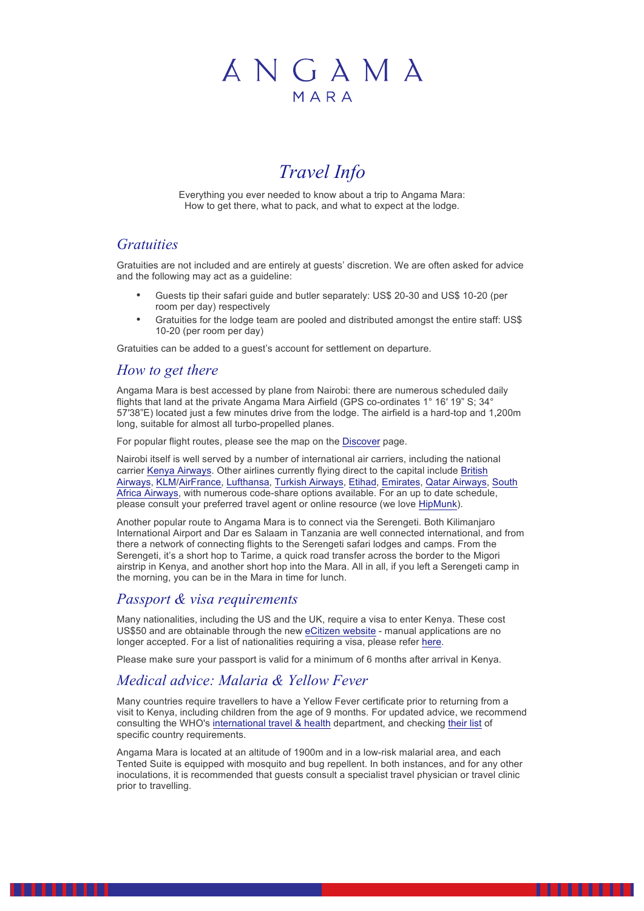# ANGAMA MARA

## *Travel Info*

Everything you ever needed to know about a trip to Angama Mara: How to get there, what to pack, and what to expect at the lodge.

### *Gratuities*

Gratuities are not included and are entirely at guests' discretion. We are often asked for advice and the following may act as a guideline:

- Guests tip their safari guide and butler separately: US\$ 20-30 and US\$ 10-20 (per room per day) respectively
- Gratuities for the lodge team are pooled and distributed amongst the entire staff: US\$ 10-20 (per room per day)

Gratuities can be added to a guest's account for settlement on departure.

#### *How to get there*

Angama Mara is best accessed by plane from Nairobi: there are numerous scheduled daily flights that land at the private Angama Mara Airfield (GPS co-ordinates 1° 16′ 19" S; 34° 57′38"E) located just a few minutes drive from the lodge. The airfield is a hard-top and 1,200m long, suitable for almost all turbo-propelled planes.

For popular flight routes, please see the map on the **[Discover](http://stage.ninjasforhire.co.za/angama/discover/)** page.

Nairobi itself is well served by a number of international air carriers, including the national carrier [Kenya Airways](https://staging.kenya-airways.com/?mobile=0). Other airlines currently flying direct to the capital include [British](http://www.britishairways.com/) Airways, KLM/AirFrance, Lufthansa, Turkish Airways, Etihad, Emirates, Qatar Airways, [South](http://www.flysaa.com/za/en/) [Africa A](http://www.britishairways.com/)i[rways](https://www.klm.com/)[, with num](http://www.airfrance.com/indexCom_en.html)[erous code](http://www.lufthansa.com/online/portal/lh_com/de/homepage)-[share options av](http://www.turkishairlines.com/)[ailable.](http://www.etihad.com/en-za/) [For an up](http://www.emirates.com/english/) [to date schedu](http://www.qatarairways.com/global/en/homepage.page)le, [please consult](http://www.flysaa.com/za/en/) your preferred travel agent or online resource (we love [HipMunk](http://hipmunk.com/)).

Another popular route to Angama Mara is to connect via the Serengeti. Both Kilimanjaro International Airport and Dar es Salaam in Tanzania are well connected international, and from there a network of connecting flights to the Serengeti safari lodges and camps. From the Serengeti, it's a short hop to Tarime, a quick road transfer across the border to the Migori airstrip in Kenya, and another short hop into the Mara. All in all, if you left a Serengeti camp in the morning, you can be in the Mara in time for lunch.

#### *Passport & visa requirements*

Many nationalities, including the US and the UK, require a visa to enter Kenya. These cost US\$50 and are obtainable through the new eCitizen website - manual applications are no longer accepted. For a list of nationalities r[equiring a visa, pl](https://immigration.ecitizen.go.ke/index.php?id=5)ease refer [here](https://immigration.ecitizen.go.ke/index.php?id=6).

Please make sure your passport is valid for a minimum of 6 months after arrival in Kenya.

## *Medical advice: Malaria & Yellow Fever*

Many countries require travellers to have a Yellow Fever certificate prior to returning from a visit to Kenya, including children from the age of 9 months. For updated advice, we recommend consulting the WHO's [international travel & health](http://www.who.int/ith/en/) department, and checking [their list](http://www.who.int/ith/ITH_Annex_I.pdf) of specific country requirements.

Angama Mara is located at an altitude of 1900m and in a low-risk malarial area, and each Tented Suite is equipped with mosquito and bug repellent. In both instances, and for any other inoculations, it is recommended that guests consult a specialist travel physician or travel clinic prior to travelling.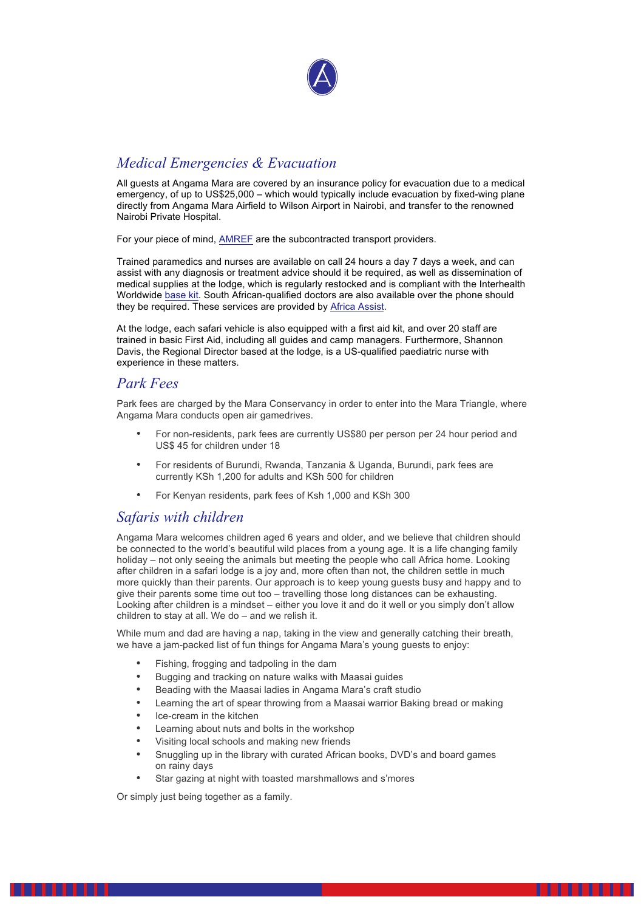

## *Medical Emergencies & Evacuation*

All guests at Angama Mara are covered by an insurance policy for evacuation due to a medical emergency, of up to US\$25,000 – which would typically include evacuation by fixed-wing plane directly from Angama Mara Airfield to Wilson Airport in Nairobi, and transfer to the renowned Nairobi Private Hospital.

For your piece of mind, [AMREF](http://amref.org/) are the subcontracted transport providers.

Trained paramedics and nurses are available on call 24 hours a day 7 days a week, and can assist with any diagnosis or treatment advice should it be required, as well as dissemination of medical supplies at the lodge, which is regularly restocked and is compliant with the Interhealth Worldwide [base kit](https://www.interhealthworldwide.org/media/909338/fact-sheet-for-interhealth-kits-base-kit.pdf). South African-qualified doctors are also available over the phone should they be required. These services are provided by [Africa Assist](http://www.africa-assist.co.za/).

At the lodge, each safari vehicle is also equipped with a first aid kit, and over 20 staff are trained in basic First Aid, including all guides and camp managers. Furthermore, Shannon Davis, the Regional Director based at the lodge, is a US-qualified paediatric nurse with experience in these matters.

#### *Park Fees*

Park fees are charged by the Mara Conservancy in order to enter into the Mara Triangle, where Angama Mara conducts open air gamedrives.

- For non-residents, park fees are currently US\$80 per person per 24 hour period and US\$ 45 for children under 18
- For residents of Burundi, Rwanda, Tanzania & Uganda, Burundi, park fees are currently KSh 1,200 for adults and KSh 500 for children
- For Kenyan residents, park fees of Ksh 1,000 and KSh 300

#### *Safaris with children*

Angama Mara welcomes children aged 6 years and older, and we believe that children should be connected to the world's beautiful wild places from a young age. It is a life changing family holiday – not only seeing the animals but meeting the people who call Africa home. Looking after children in a safari lodge is a joy and, more often than not, the children settle in much more quickly than their parents. Our approach is to keep young guests busy and happy and to give their parents some time out too – travelling those long distances can be exhausting. Looking after children is a mindset – either you love it and do it well or you simply don't allow children to stay at all. We do – and we relish it.

While mum and dad are having a nap, taking in the view and generally catching their breath, we have a jam-packed list of fun things for Angama Mara's young guests to enjoy:

- Fishing, frogging and tadpoling in the dam
- Bugging and tracking on nature walks with Maasai guides
- Beading with the Maasai ladies in Angama Mara's craft studio
- Learning the art of spear throwing from a Maasai warrior Baking bread or making
- Ice-cream in the kitchen
- Learning about nuts and bolts in the workshop
- Visiting local schools and making new friends
- Snuggling up in the library with curated African books, DVD's and board games on rainy days

. . . . . . .

Star gazing at night with toasted marshmallows and s'mores

Or simply just being together as a family.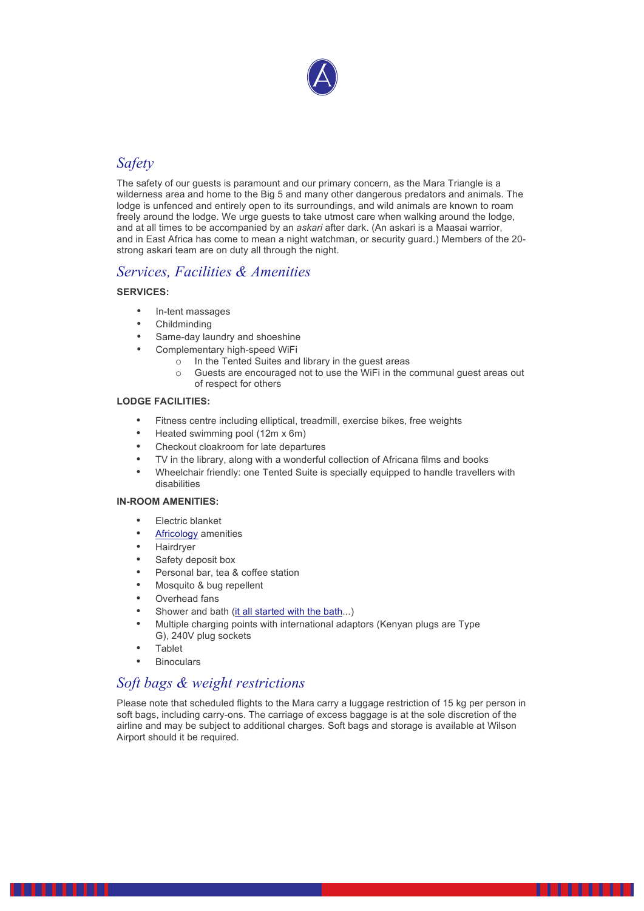

## *Safety*

The safety of our guests is paramount and our primary concern, as the Mara Triangle is a wilderness area and home to the Big 5 and many other dangerous predators and animals. The lodge is unfenced and entirely open to its surroundings, and wild animals are known to roam freely around the lodge. We urge guests to take utmost care when walking around the lodge, and at all times to be accompanied by an *askari* after dark. (An askari is a Maasai warrior, and in East Africa has come to mean a night watchman, or security guard.) Members of the 20 strong askari team are on duty all through the night.

#### *Services, Facilities & Amenities*

#### **SERVICES:**

- In-tent massages
- Childminding
- Same-day laundry and shoeshine
- Complementary high-speed WiFi
	- o In the Tented Suites and library in the guest areas
	- o Guests are encouraged not to use the WiFi in the communal guest areas out of respect for others

#### **LODGE FACILITIES:**

- Fitness centre including elliptical, treadmill, exercise bikes, free weights
- Heated swimming pool (12m x 6m)
- Checkout cloakroom for late departures
- TV in the library, along with a wonderful collection of Africana films and books
- Wheelchair friendly: one Tented Suite is specially equipped to handle travellers with disabilities

#### **IN-ROOM AMENITIES:**

- Electric blanket
- [Africology](http://africologyspa.com/home.php) amenities
- Hairdryer
- Safety deposit box
- Personal bar, tea & coffee station
- Mosquito & bug repellent
- Overhead fans
- Shower and bath [\(it all started with the bath](http://stage.ninjasforhire.co.za/angama/it-all-started-with-the-bath/)...)
- Multiple charging points with international adaptors (Kenyan plugs are Type G), 240V plug sockets
- Tablet
- **Binoculars**

## *Soft bags & weight restrictions*

Please note that scheduled flights to the Mara carry a luggage restriction of 15 kg per person in soft bags, including carry-ons. The carriage of excess baggage is at the sole discretion of the airline and may be subject to additional charges. Soft bags and storage is available at Wilson Airport should it be required.

. . . . . . .